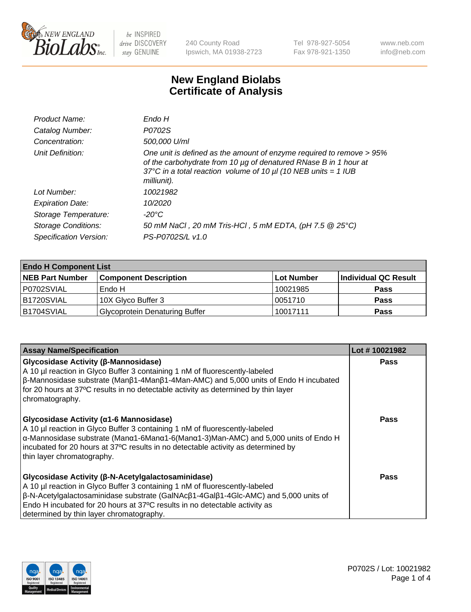

240 County Road Ipswich, MA 01938-2723 Tel 978-927-5054 Fax 978-921-1350 www.neb.com info@neb.com

## **New England Biolabs Certificate of Analysis**

| Endo H                                                                                                                                                                                                                         |
|--------------------------------------------------------------------------------------------------------------------------------------------------------------------------------------------------------------------------------|
| P0702S                                                                                                                                                                                                                         |
| 500,000 U/ml                                                                                                                                                                                                                   |
| One unit is defined as the amount of enzyme required to remove > 95%<br>of the carbohydrate from 10 µg of denatured RNase B in 1 hour at<br>37°C in a total reaction volume of 10 $\mu$ I (10 NEB units = 1 IUB<br>milliunit). |
| 10021982                                                                                                                                                                                                                       |
| 10/2020                                                                                                                                                                                                                        |
| -20°C                                                                                                                                                                                                                          |
| 50 mM NaCl, 20 mM Tris-HCl, 5 mM EDTA, (pH 7.5 @ 25°C)                                                                                                                                                                         |
| PS-P0702S/L v1.0                                                                                                                                                                                                               |
|                                                                                                                                                                                                                                |

| <b>Endo H Component List</b> |                                       |             |                      |  |  |
|------------------------------|---------------------------------------|-------------|----------------------|--|--|
| <b>NEB Part Number</b>       | <b>Component Description</b>          | ∣Lot Number | Individual QC Result |  |  |
| P0702SVIAL                   | Endo H                                | 10021985    | <b>Pass</b>          |  |  |
| B1720SVIAL                   | 10X Glyco Buffer 3                    | 10051710    | <b>Pass</b>          |  |  |
| B1704SVIAL                   | <b>Glycoprotein Denaturing Buffer</b> | 10017111    | <b>Pass</b>          |  |  |

| <b>Assay Name/Specification</b>                                                                                                                                                                                                                                                                                                                                           | Lot #10021982 |
|---------------------------------------------------------------------------------------------------------------------------------------------------------------------------------------------------------------------------------------------------------------------------------------------------------------------------------------------------------------------------|---------------|
| <b>Glycosidase Activity (β-Mannosidase)</b><br>A 10 µl reaction in Glyco Buffer 3 containing 1 nM of fluorescently-labeled<br>$\beta$ -Mannosidase substrate (Man $\beta$ 1-4Man $\beta$ 1-4Man-AMC) and 5,000 units of Endo H incubated<br>for 20 hours at 37°C results in no detectable activity as determined by thin layer<br>chromatography.                         | <b>Pass</b>   |
| <b>Glycosidase Activity (α1-6 Mannosidase)</b><br>A 10 µl reaction in Glyco Buffer 3 containing 1 nM of fluorescently-labeled<br>$\alpha$ -Mannosidase substrate (Man $\alpha$ 1-6Man $\alpha$ 1-6(Man $\alpha$ 1-3)Man-AMC) and 5,000 units of Endo H<br>incubated for 20 hours at 37°C results in no detectable activity as determined by<br>thin layer chromatography. | Pass          |
| Glycosidase Activity (β-N-Acetylgalactosaminidase)<br>A 10 µl reaction in Glyco Buffer 3 containing 1 nM of fluorescently-labeled<br>$\beta$ -N-Acetylgalactosaminidase substrate (GalNAc $\beta$ 1-4Gal $\beta$ 1-4Glc-AMC) and 5,000 units of<br>Endo H incubated for 20 hours at 37°C results in no detectable activity as<br>determined by thin layer chromatography. | Pass          |

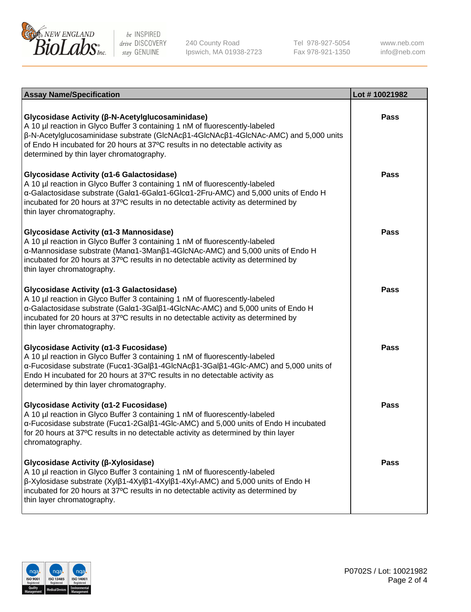

240 County Road Ipswich, MA 01938-2723 Tel 978-927-5054 Fax 978-921-1350

www.neb.com info@neb.com

| <b>Assay Name/Specification</b>                                                                                                                                                                                                                                                                                                                      | Lot #10021982 |
|------------------------------------------------------------------------------------------------------------------------------------------------------------------------------------------------------------------------------------------------------------------------------------------------------------------------------------------------------|---------------|
| Glycosidase Activity (β-N-Acetylglucosaminidase)<br>A 10 µl reaction in Glyco Buffer 3 containing 1 nM of fluorescently-labeled<br>β-N-Acetylglucosaminidase substrate (GlcNAcβ1-4GlcNAcβ1-4GlcNAc-AMC) and 5,000 units<br>of Endo H incubated for 20 hours at 37°C results in no detectable activity as<br>determined by thin layer chromatography. | <b>Pass</b>   |
| Glycosidase Activity (α1-6 Galactosidase)<br>A 10 µl reaction in Glyco Buffer 3 containing 1 nM of fluorescently-labeled<br>α-Galactosidase substrate (Galα1-6Galα1-6Glcα1-2Fru-AMC) and 5,000 units of Endo H<br>incubated for 20 hours at 37°C results in no detectable activity as determined by<br>thin layer chromatography.                    | <b>Pass</b>   |
| Glycosidase Activity (α1-3 Mannosidase)<br>A 10 µl reaction in Glyco Buffer 3 containing 1 nM of fluorescently-labeled<br>α-Mannosidase substrate (Manα1-3Manβ1-4GlcNAc-AMC) and 5,000 units of Endo H<br>incubated for 20 hours at 37°C results in no detectable activity as determined by<br>thin layer chromatography.                            | <b>Pass</b>   |
| Glycosidase Activity (a1-3 Galactosidase)<br>A 10 µl reaction in Glyco Buffer 3 containing 1 nM of fluorescently-labeled<br>α-Galactosidase substrate (Galα1-3Galβ1-4GlcNAc-AMC) and 5,000 units of Endo H<br>incubated for 20 hours at 37°C results in no detectable activity as determined by<br>thin layer chromatography.                        | <b>Pass</b>   |
| Glycosidase Activity (α1-3 Fucosidase)<br>A 10 µl reaction in Glyco Buffer 3 containing 1 nM of fluorescently-labeled<br>α-Fucosidase substrate (Fucα1-3Galβ1-4GlcNAcβ1-3Galβ1-4Glc-AMC) and 5,000 units of<br>Endo H incubated for 20 hours at 37°C results in no detectable activity as<br>determined by thin layer chromatography.                | <b>Pass</b>   |
| Glycosidase Activity (α1-2 Fucosidase)<br>A 10 µl reaction in Glyco Buffer 3 containing 1 nM of fluorescently-labeled<br>α-Fucosidase substrate (Fucα1-2Galβ1-4Glc-AMC) and 5,000 units of Endo H incubated<br>for 20 hours at 37°C results in no detectable activity as determined by thin layer<br>chromatography.                                 | <b>Pass</b>   |
| Glycosidase Activity (β-Xylosidase)<br>A 10 µl reaction in Glyco Buffer 3 containing 1 nM of fluorescently-labeled<br>β-Xylosidase substrate (Xylβ1-4Xylβ1-4Xylβ1-4Xyl-AMC) and 5,000 units of Endo H<br>incubated for 20 hours at 37°C results in no detectable activity as determined by<br>thin layer chromatography.                             | <b>Pass</b>   |

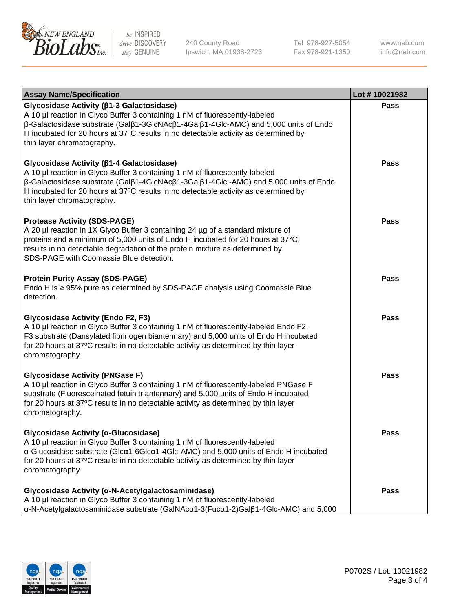

240 County Road Ipswich, MA 01938-2723 Tel 978-927-5054 Fax 978-921-1350 www.neb.com info@neb.com

| <b>Assay Name/Specification</b>                                                                                                                                                                                                                                                                                                                                      | Lot #10021982 |
|----------------------------------------------------------------------------------------------------------------------------------------------------------------------------------------------------------------------------------------------------------------------------------------------------------------------------------------------------------------------|---------------|
| Glycosidase Activity (β1-3 Galactosidase)<br>A 10 µl reaction in Glyco Buffer 3 containing 1 nM of fluorescently-labeled<br>β-Galactosidase substrate (Galβ1-3GlcNAcβ1-4Galβ1-4Glc-AMC) and 5,000 units of Endo<br>H incubated for 20 hours at 37°C results in no detectable activity as determined by<br>thin layer chromatography.                                 | <b>Pass</b>   |
| Glycosidase Activity (β1-4 Galactosidase)<br>A 10 µl reaction in Glyco Buffer 3 containing 1 nM of fluorescently-labeled<br>$\beta$ -Galactosidase substrate (Gal $\beta$ 1-4GlcNAc $\beta$ 1-3Gal $\beta$ 1-4Glc -AMC) and 5,000 units of Endo<br>H incubated for 20 hours at 37°C results in no detectable activity as determined by<br>thin layer chromatography. | Pass          |
| <b>Protease Activity (SDS-PAGE)</b><br>A 20 µl reaction in 1X Glyco Buffer 3 containing 24 µg of a standard mixture of<br>proteins and a minimum of 5,000 units of Endo H incubated for 20 hours at 37°C,<br>results in no detectable degradation of the protein mixture as determined by<br>SDS-PAGE with Coomassie Blue detection.                                 | Pass          |
| <b>Protein Purity Assay (SDS-PAGE)</b><br>Endo H is ≥ 95% pure as determined by SDS-PAGE analysis using Coomassie Blue<br>detection.                                                                                                                                                                                                                                 | <b>Pass</b>   |
| <b>Glycosidase Activity (Endo F2, F3)</b><br>A 10 µl reaction in Glyco Buffer 3 containing 1 nM of fluorescently-labeled Endo F2,<br>F3 substrate (Dansylated fibrinogen biantennary) and 5,000 units of Endo H incubated<br>for 20 hours at 37°C results in no detectable activity as determined by thin layer<br>chromatography.                                   | <b>Pass</b>   |
| <b>Glycosidase Activity (PNGase F)</b><br>A 10 µl reaction in Glyco Buffer 3 containing 1 nM of fluorescently-labeled PNGase F<br>substrate (Fluoresceinated fetuin triantennary) and 5,000 units of Endo H incubated<br>for 20 hours at 37°C results in no detectable activity as determined by thin layer<br>chromatography.                                       | Pass          |
| Glycosidase Activity (α-Glucosidase)<br>A 10 µl reaction in Glyco Buffer 3 containing 1 nM of fluorescently-labeled<br>α-Glucosidase substrate (Glcα1-6Glcα1-4Glc-AMC) and 5,000 units of Endo H incubated<br>for 20 hours at 37°C results in no detectable activity as determined by thin layer<br>chromatography.                                                  | <b>Pass</b>   |
| Glycosidase Activity (α-N-Acetylgalactosaminidase)<br>A 10 µl reaction in Glyco Buffer 3 containing 1 nM of fluorescently-labeled<br>α-N-Acetylgalactosaminidase substrate (GalNAcα1-3(Fucα1-2)Galβ1-4Glc-AMC) and 5,000                                                                                                                                             | Pass          |